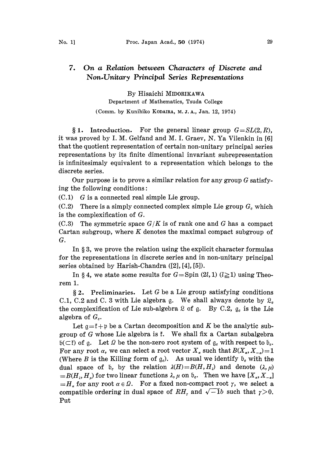## 7. On a Relation between Characters of Discrete and Non.Unitary Principal Series Representations

By Hisaichi MIDORIKAWA Department of Mathematics, Tsuda College

(Comm. by Kunihiko KODAIRA, M.J.A., Jan. 12, 1974)

§ 1. Introduction. For the general linear group  $G = SL(2, R)$ , it was proved by I. M. Gelfand and M. I. Graev, N. Ya Vilenkin in [6] that the quotient representation of certain non-unitary principal series representations by its finite dimentional invariant subrepresentation is infinitesimaly equivalent to a representation which belongs to the discrete series.

Our purpose is to prove a similar relation for any group  $G$  satisfying the following conditions:

 $(C.1)$  G is a connected real simple Lie group.

 $(C.2)$  There is a simply connected complex simple Lie group  $G_c$  which is the complexification of G.

 $(C.3)$  The symmetric space  $G/K$  is of rank one and G has a compact Cartan subgroup, where  $K$  denotes the maximal compact subgroup of G.

In  $\S 3$ , we prove the relation using the explicit character formulas for the representations in discrete series and in non-unitary principal series obtained by Harish-Chandra ([2], [4], [5]).

In § 4, we state some results for  $G = Spin(2l, 1)$   $(l \ge 1)$  using Theorem 1.

 $§ 2.$  Preliminaries. Let G be a Lie group satisfying conditions C.1, C.2 and C. 3 with Lie algebra g. We shall always denote by  $\mathfrak{L}_c$ the complexification of Lie sub-algebra  $\&$  of  $g$ . By C.2,  $g_e$  is the Lie algebra of  $G_c$ .

Let  $a = f + p$  be a Cartan decomposition and K be the analytic subgroup of G whose Lie algebra is  $\mathfrak k$ . We shall fix a Cartan subalgebra  $\mathfrak{b}(\subset \mathfrak{k})$  of g. Let  $\Omega$  be the non-zero root system of  $\mathfrak{g}_c$  with respect to  $\mathfrak{b}_c$ . For any root  $\alpha$ , we can select a root vector  $X_{\alpha}$  such that  $B(X_{\alpha}, X_{-\alpha})=1$ (Where B is the Killing form of  $g_c$ ). As usual we identify  $\mathfrak{b}_c$  with the dual space of  $\mathfrak{b}_c$  by the relation  $\lambda(H)=B(H,H_1)$  and denote  $(\lambda,\mu)$  $B(H_i, H_i)$  for two linear functions  $\lambda, \mu$  on  $\mathfrak{b}_c$ . Then we have  $[X_a, X_{-a}]$  $=H<sub>r</sub>$  for any root  $\alpha \in \Omega$ . For a fixed non-compact root  $\gamma$ , we select a compatible ordering in dual space of RH, and  $\sqrt{-1}b$  such that  $\gamma>0$ . Put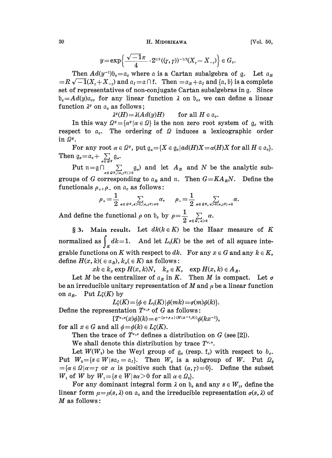30 H. MIDORIKAWA

$$
y = \exp\left\{\frac{\sqrt{-1}\pi}{4} \cdot 2^{1/2}((\gamma,\gamma))^{-1/2}(X_{\gamma} - X_{-\gamma})\right\} \in G_e.
$$

 $\{\frac{1}{4} \cdot 2^{1/2}((\gamma, \gamma))^{-1/2}(X_{\gamma} - X_{-\gamma})\} \in G_c.$ <br>
c where  $\alpha$  is a Cartan subalgebra of<br>  $a_{\gamma} = \alpha \cap \tilde{f}$ . Then  $= \alpha_R + \alpha_I$  and  $\{\alpha, \beta\}$  is Then  $Ad(y^{-1}) \mathfrak{b}_c \!=\! \mathfrak{a}_c$  where  $=R\sqrt{-1}(X_t+X_{-t})$  and  $\mathfrak{a}_I=\mathfrak{a}\cap \mathfrak{k}$ . Then  $=\mathfrak{a}_R+\mathfrak{a}_I$  and  $\{\mathfrak{a},\mathfrak{b}\}\$  is a complete set of representatives of non-conjugate Cartan subalgebras in g. Since  $\mathfrak{b}_{\varepsilon} = Ad(y)\mathfrak{a}_{\varepsilon}$ , for any linear function  $\lambda$  on  $\mathfrak{b}_{\varepsilon}$ , we can define a linear function  $\lambda^y$  on  $\alpha_c$  as follows;

 $\lambda^y(H) = \lambda (Ad(y)H)$  for all  $H \in \mathfrak{a}_c$ .

In this way  $\Omega^y = {\alpha^y | \alpha \in \Omega}$  is the non zero root system of  $g_c$  with respect to  $a_c$ . The ordering of  $\Omega$  induces a lexicographic order in  $\Omega^y$ .

For any root  $\alpha \in \Omega^{\nu}$ , put  $\mathfrak{g}_{\alpha} = \{X \in \mathfrak{g}_{\alpha} | ad(H)X = \alpha(H)X \text{ for all } H \in \mathfrak{a}_{\alpha} \}.$ Then  $\mathfrak{g}_c = \mathfrak{a}_c + \sum_{\alpha \in Q} \mathfrak{g}_\alpha$ .

Put  $\lim_{n\in \Omega} \bigcap_{\alpha\in \Omega^y, (\alpha,\gamma^y)>0}^{\alpha\in \Omega^y} g_\alpha$  and let  $A_R$  and N be the analytic subgroups of G corresponding to  $a_R$  and n. Then  $G=KA_RN$ . Define the functionals  $\rho_+$ ,  $\rho_-$  on  $\alpha_c$  as follows:

$$
\rho_+ = \frac{1}{2} \sum_{\alpha \in \Omega^y, \alpha > 0, \langle \alpha, r^y \rangle \neq 0} \alpha, \qquad \rho_- = \frac{1}{2} \sum_{\alpha \in \Omega^y, \alpha > 0, \alpha, r^y \rangle = 0} \alpha.
$$

And define the functional  $\rho$  on  $\mathfrak{b}_c$  by  $\rho = \frac{1}{2}$ 

§ 3. Main result. Let  $dk(k \in K)$  be the Haar measure of K normalized as  $\int_K dk = 1$ . And let  $L_2(K)$  be the set of all square integrable functions on K with respect to dk. For any  $x \in G$  and any  $k \in K$ , define  $H(x, k) \in a_R$ ,  $k_x \in K$  as follows:

 $x k \in k_x \exp H(x, k)N$ ,  $k_x \in K$ ,  $\exp H(x, k) \in A_R$ .

Let *M* be the centralizer of  $a_R$  in *K*. Then *M* is compact. Let  $\sigma$ be an irreducible unitary representation of M and  $\mu$  be a linear function on  $\alpha_R$ . Put  $L_2(K)$  by

 $L_2^{\sigma}(K) = {\phi \in L_2(K) \mid \phi(mk) = \sigma(m)\phi(k)}.$ 

Define the representation  $T^{_{\sigma,\mu}}$  of G as follows:

 $[T^{\sigma,\mu}(x)\phi](k) = e^{-(\mu+\rho+(H(x^{-1},k))}\phi(kx^{-1}),$ 

for all  $x \in G$  and all  $\phi = \phi(k) \in L_2(K)$ .

Then the trace of  $T^{r,\mu}$  defines a distribution on G (see [2]).

We shall denote this distribution by trace  $T^{s,x}$ .

Let  $W(W_t)$  be the Weyl group of  $g_c$  (resp.  $\tilde{t}_c$ ) with respect to  $b_c$ . Put  $W_0 = \{s \in W | s \alpha_I = \alpha_I\}$ . Then  $W_0$  is a subgroup of W. Put  $\Omega_0$  $= {\alpha \in \Omega | \alpha = \gamma \text{ or } \alpha \text{ is positive such that } (\alpha, \gamma) = 0}.$  Define the subset  $W_1$  of W by  $W_1 = \{s \in W | s\alpha > 0 \text{ for all } \alpha \in \Omega_0\}.$ 

For any dominant integral form  $\lambda$  on  $\mathfrak{b}_c$  and any  $s \in W_1$ , define the linear form  $\mu = \mu(s, \lambda)$  on  $\alpha_c$  and the irreducible representation  $\sigma(s, \lambda)$  of  $M$  as follows: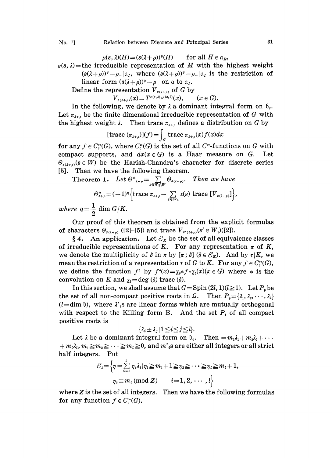$\mu(s, \lambda)(H) = (s(\lambda + \rho))^y(H)$  for all  $H \in \mathfrak{a}_R$ ,

 $\sigma(s, \lambda)$ =the irreducible representation of M with the highest weight

 $(s(\lambda+\rho))^y-\rho_-|\alpha_I$ , where  $(s(\lambda+\rho))^y-\rho_-|\alpha_I$  is the restriction of linear form  $(s(\lambda+\rho))^y-\rho_-$  on a to  $\alpha_I$ .

Define the representation  $V_{s(\lambda+\rho)}$  of G by

 $V_{s(\lambda+\rho)}(x) = T^{\sigma(s,\lambda),\mu(s,\lambda)}(x), \quad (x \in G).$ 

In the following, we denote by  $\lambda$  a dominant integral form on  $\mathfrak{b}_c$ . Let  $\pi_{\lambda+\rho}$  be the finite dimensional irreducible representation of G with the highest weight  $\lambda$ . Then trace  $\pi_{\lambda+\rho}$  defines a distribution on G by

[trace 
$$
(\pi_{\lambda+\rho})
$$
]( $f$ ) =  $\int_{G}$  trace  $\pi_{\lambda+\rho}(x)f(x)dx$ 

for any  $f \in C_c^{\infty}(G)$ , where  $C_c^{\infty}(G)$  is the set of all  $C^{\infty}$ -functions on G with compact supports, and  $dx(x \in G)$  is a Haar measure on G. Let  $\Theta_{s(\lambda+\rho)}(s \in W)$  be the Harish-Chandra's character for discrete series [5]. Then we have the following theorem.

Theorem 1. Let  $\Theta^*_{\lambda+\rho} = \sum_{s \in W_t \setminus W} \Theta_{s(\lambda+\rho)}$ . Then we have

$$
\Theta_{\lambda+\rho}^* = (-1)^q \Big\{ \text{trace } \pi_{\lambda+\rho} - \sum_{s \in W_1} \varepsilon(s) \text{ trace } [V_{s(\lambda+\rho)}] \Big\},\,
$$

where  $q=\frac{1}{2}$  dim  $G/K$ .

Our proof of this theorem is obtained from the explicit formulas of characters  $\Theta_{s(\lambda+\rho)}$  ([2]-[5]) and trace  $V_{s'(\lambda+\rho)}(s' \in W_1)([2])$ .

§ 4. An application. Let  $\mathcal{E}_K$  be the set of all equivalence classes of irreducible representations of K. For any representation  $\pi$  of K, we denote the multiplicity of  $\delta$  in  $\pi$  by  $[\pi; \delta]$  ( $\delta \in \mathcal{E}_K$ ). And by  $\tau | K$ , we mean the restriction of a representation r of G to K. For any  $f \in C_c^{\infty}(G)$ , we define the function  $f^*$  by  $f^*(x) = \overline{\chi}_s * f * \overline{\chi}_s(x)$  ( $x \in G$ ) where  $*$  is the convolution on K and  $\chi_i = \deg(\delta)$  trace  $(\delta)$ .

In this section, we shall assume that  $G = \text{Spin}(2l, 1)(l \geq 1)$ . Let  $P_p$  be the set of all non-compact positive roots in  $\Omega$ . Then  $P_{\nu} = \{\lambda_1, \lambda_2, \dots, \lambda_l\}$  $(l=$ dim b), where  $\lambda$ '<sub>i</sub>s are linear forms which are mutually orthogonal with respect to the Killing form B. And the set  $P_t$  of all compact positive roots is

$$
\{\lambda_i \pm \lambda_j | 1 \leq i \leq j \leq l\}.
$$

Let  $\lambda$  be a dominant integral form on  $\mathfrak{b}_c$ . Then  $=m_1\lambda_1+m_2\lambda_2+\cdots$  $+m_l\lambda_l, m_1\geq m_2\geq \cdots \geq m_l\geq 0$ , and m'<sub>i</sub>s are either all integers or all strict half integers. Put

$$
\mathcal{E}_i = \left\{ \eta = \sum_{i=1}^l \eta_i \lambda_i | \eta_1 \geq m_1 + 1 \geq \eta_2 \geq \cdots \geq \eta_l \geq m_l + 1, \eta_i \equiv m_i \, (\text{mod } \mathbb{Z}) \qquad i = 1, 2, \, \cdots, l \right\}
$$

where  $Z$  is the set of all integers. Then we have the following formulas for any function  $f \in C_c^{\infty}(G)$ .